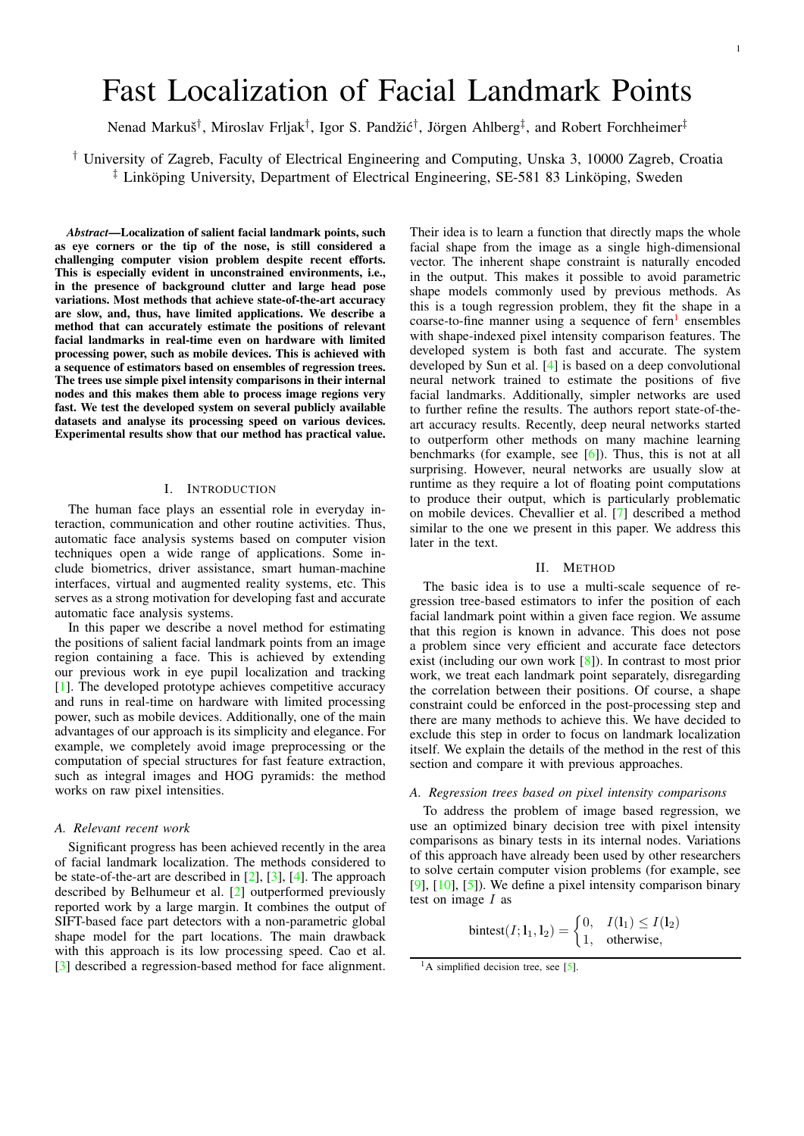# <span id="page-0-1"></span>Fast Localization of Facial Landmark Points

Nenad Markuš<sup>†</sup>, Miroslav Frljak<sup>†</sup>, Igor S. Pandžić<sup>†</sup>, Jörgen Ahlberg<sup>‡</sup>, and Robert Forchheimer<sup>‡</sup>

† University of Zagreb, Faculty of Electrical Engineering and Computing, Unska 3, 10000 Zagreb, Croatia  $\ddagger$  Linköping University, Department of Electrical Engineering, SE-581 83 Linköping, Sweden

*Abstract*—Localization of salient facial landmark points, such as eye corners or the tip of the nose, is still considered a challenging computer vision problem despite recent efforts. This is especially evident in unconstrained environments, i.e., in the presence of background clutter and large head pose variations. Most methods that achieve state-of-the-art accuracy are slow, and, thus, have limited applications. We describe a method that can accurately estimate the positions of relevant facial landmarks in real-time even on hardware with limited processing power, such as mobile devices. This is achieved with a sequence of estimators based on ensembles of regression trees. The trees use simple pixel intensity comparisons in their internal nodes and this makes them able to process image regions very fast. We test the developed system on several publicly available datasets and analyse its processing speed on various devices. Experimental results show that our method has practical value.

# I. INTRODUCTION

The human face plays an essential role in everyday interaction, communication and other routine activities. Thus, automatic face analysis systems based on computer vision techniques open a wide range of applications. Some include biometrics, driver assistance, smart human-machine interfaces, virtual and augmented reality systems, etc. This serves as a strong motivation for developing fast and accurate automatic face analysis systems.

In this paper we describe a novel method for estimating the positions of salient facial landmark points from an image region containing a face. This is achieved by extending our previous work in eye pupil localization and tracking [\[1\]](#page-3-0). The developed prototype achieves competitive accuracy and runs in real-time on hardware with limited processing power, such as mobile devices. Additionally, one of the main advantages of our approach is its simplicity and elegance. For example, we completely avoid image preprocessing or the computation of special structures for fast feature extraction, such as integral images and HOG pyramids: the method works on raw pixel intensities.

#### *A. Relevant recent work*

Significant progress has been achieved recently in the area of facial landmark localization. The methods considered to be state-of-the-art are described in [\[2\]](#page-3-1), [\[3\]](#page-3-2), [\[4\]](#page-3-3). The approach described by Belhumeur et al. [\[2\]](#page-3-1) outperformed previously reported work by a large margin. It combines the output of SIFT-based face part detectors with a non-parametric global shape model for the part locations. The main drawback with this approach is its low processing speed. Cao et al. [\[3\]](#page-3-2) described a regression-based method for face alignment.

Their idea is to learn a function that directly maps the whole facial shape from the image as a single high-dimensional vector. The inherent shape constraint is naturally encoded in the output. This makes it possible to avoid parametric shape models commonly used by previous methods. As this is a tough regression problem, they fit the shape in a coarse-to-fine manner using a sequence of fern<sup>[1](#page-0-0)</sup> ensembles with shape-indexed pixel intensity comparison features. The developed system is both fast and accurate. The system developed by Sun et al. [\[4\]](#page-3-3) is based on a deep convolutional neural network trained to estimate the positions of five facial landmarks. Additionally, simpler networks are used to further refine the results. The authors report state-of-theart accuracy results. Recently, deep neural networks started to outperform other methods on many machine learning benchmarks (for example, see [\[6\]](#page-3-4)). Thus, this is not at all surprising. However, neural networks are usually slow at runtime as they require a lot of floating point computations to produce their output, which is particularly problematic on mobile devices. Chevallier et al. [\[7\]](#page-3-5) described a method similar to the one we present in this paper. We address this later in the text.

### II. METHOD

The basic idea is to use a multi-scale sequence of regression tree-based estimators to infer the position of each facial landmark point within a given face region. We assume that this region is known in advance. This does not pose a problem since very efficient and accurate face detectors exist (including our own work [\[8\]](#page-3-6)). In contrast to most prior work, we treat each landmark point separately, disregarding the correlation between their positions. Of course, a shape constraint could be enforced in the post-processing step and there are many methods to achieve this. We have decided to exclude this step in order to focus on landmark localization itself. We explain the details of the method in the rest of this section and compare it with previous approaches.

# *A. Regression trees based on pixel intensity comparisons*

To address the problem of image based regression, we use an optimized binary decision tree with pixel intensity comparisons as binary tests in its internal nodes. Variations of this approach have already been used by other researchers to solve certain computer vision problems (for example, see  $[9]$ ,  $[10]$ ,  $[5]$ ). We define a pixel intensity comparison binary test on image  $I$  as

$$
bintest(I; 11, 12) = \begin{cases} 0, & I(11) \le I(12) \\ 1, & otherwise, \end{cases}
$$

<span id="page-0-0"></span><sup>&</sup>lt;sup>1</sup>A simplified decision tree, see [\[5\]](#page-3-9).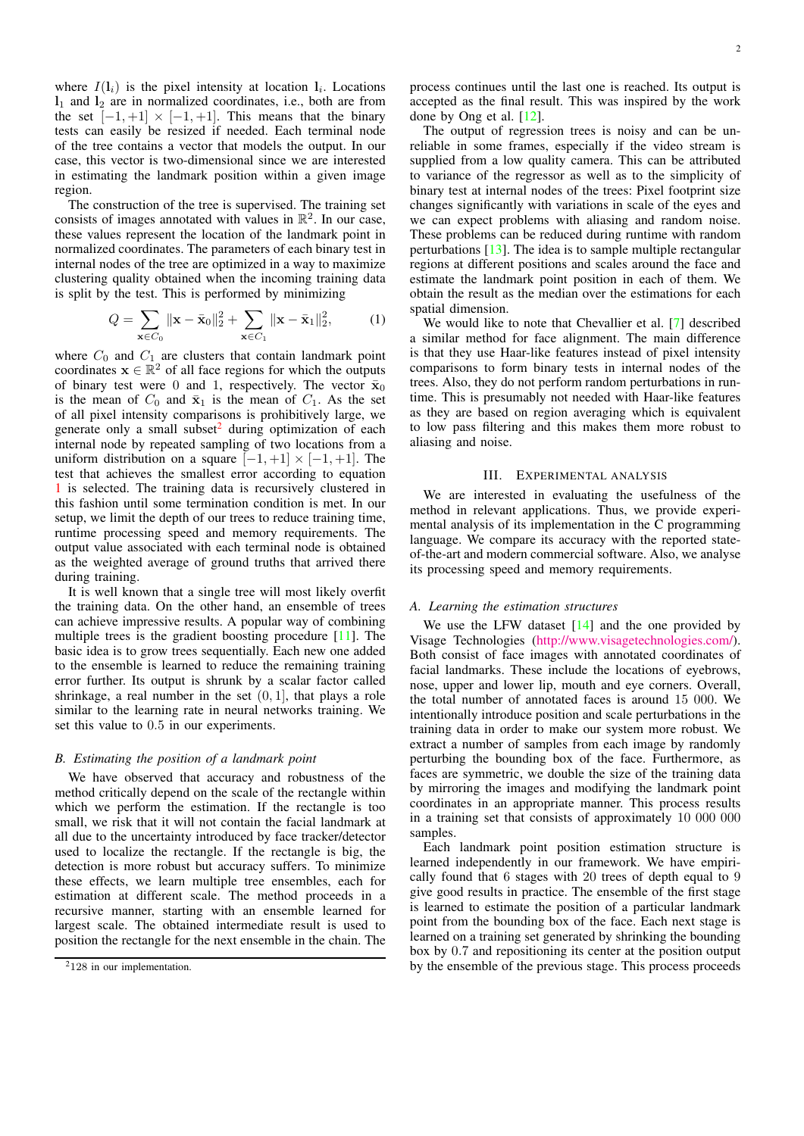<span id="page-1-2"></span>where  $I(1<sub>i</sub>)$  is the pixel intensity at location  $1<sub>i</sub>$ . Locations  $l_1$  and  $l_2$  are in normalized coordinates, i.e., both are from the set  $[-1, +1] \times [-1, +1]$ . This means that the binary tests can easily be resized if needed. Each terminal node of the tree contains a vector that models the output. In our case, this vector is two-dimensional since we are interested in estimating the landmark position within a given image region.

The construction of the tree is supervised. The training set consists of images annotated with values in  $\mathbb{R}^2$ . In our case, these values represent the location of the landmark point in normalized coordinates. The parameters of each binary test in internal nodes of the tree are optimized in a way to maximize clustering quality obtained when the incoming training data is split by the test. This is performed by minimizing

<span id="page-1-1"></span>
$$
Q = \sum_{\mathbf{x} \in C_0} ||\mathbf{x} - \bar{\mathbf{x}}_0||_2^2 + \sum_{\mathbf{x} \in C_1} ||\mathbf{x} - \bar{\mathbf{x}}_1||_2^2, \qquad (1)
$$

where  $C_0$  and  $C_1$  are clusters that contain landmark point coordinates  $\mathbf{x} \in \mathbb{R}^2$  of all face regions for which the outputs of binary test were 0 and 1, respectively. The vector  $\bar{x}_0$ is the mean of  $C_0$  and  $\bar{x}_1$  is the mean of  $C_1$ . As the set of all pixel intensity comparisons is prohibitively large, we generate only a small subset $^2$  $^2$  during optimization of each internal node by repeated sampling of two locations from a uniform distribution on a square  $[-1, +1] \times [-1, +1]$ . The test that achieves the smallest error according to equation [1](#page-1-1) is selected. The training data is recursively clustered in this fashion until some termination condition is met. In our setup, we limit the depth of our trees to reduce training time, runtime processing speed and memory requirements. The output value associated with each terminal node is obtained as the weighted average of ground truths that arrived there during training.

It is well known that a single tree will most likely overfit the training data. On the other hand, an ensemble of trees can achieve impressive results. A popular way of combining multiple trees is the gradient boosting procedure [\[11\]](#page-4-0). The basic idea is to grow trees sequentially. Each new one added to the ensemble is learned to reduce the remaining training error further. Its output is shrunk by a scalar factor called shrinkage, a real number in the set  $(0, 1]$ , that plays a role similar to the learning rate in neural networks training. We set this value to 0.5 in our experiments.

# *B. Estimating the position of a landmark point*

We have observed that accuracy and robustness of the method critically depend on the scale of the rectangle within which we perform the estimation. If the rectangle is too small, we risk that it will not contain the facial landmark at all due to the uncertainty introduced by face tracker/detector used to localize the rectangle. If the rectangle is big, the detection is more robust but accuracy suffers. To minimize these effects, we learn multiple tree ensembles, each for estimation at different scale. The method proceeds in a recursive manner, starting with an ensemble learned for largest scale. The obtained intermediate result is used to position the rectangle for the next ensemble in the chain. The

process continues until the last one is reached. Its output is accepted as the final result. This was inspired by the work done by Ong et al. [\[12\]](#page-4-1).

The output of regression trees is noisy and can be unreliable in some frames, especially if the video stream is supplied from a low quality camera. This can be attributed to variance of the regressor as well as to the simplicity of binary test at internal nodes of the trees: Pixel footprint size changes significantly with variations in scale of the eyes and we can expect problems with aliasing and random noise. These problems can be reduced during runtime with random perturbations [\[13\]](#page-4-2). The idea is to sample multiple rectangular regions at different positions and scales around the face and estimate the landmark point position in each of them. We obtain the result as the median over the estimations for each spatial dimension.

We would like to note that Chevallier et al. [\[7\]](#page-3-5) described a similar method for face alignment. The main difference is that they use Haar-like features instead of pixel intensity comparisons to form binary tests in internal nodes of the trees. Also, they do not perform random perturbations in runtime. This is presumably not needed with Haar-like features as they are based on region averaging which is equivalent to low pass filtering and this makes them more robust to aliasing and noise.

#### III. EXPERIMENTAL ANALYSIS

We are interested in evaluating the usefulness of the method in relevant applications. Thus, we provide experimental analysis of its implementation in the C programming language. We compare its accuracy with the reported stateof-the-art and modern commercial software. Also, we analyse its processing speed and memory requirements.

#### *A. Learning the estimation structures*

We use the LFW dataset [\[14\]](#page-4-3) and the one provided by Visage Technologies [\(http://www.visagetechnologies.com/\)](http://www.visagetechnologies.com/). Both consist of face images with annotated coordinates of facial landmarks. These include the locations of eyebrows, nose, upper and lower lip, mouth and eye corners. Overall, the total number of annotated faces is around 15 000. We intentionally introduce position and scale perturbations in the training data in order to make our system more robust. We extract a number of samples from each image by randomly perturbing the bounding box of the face. Furthermore, as faces are symmetric, we double the size of the training data by mirroring the images and modifying the landmark point coordinates in an appropriate manner. This process results in a training set that consists of approximately 10 000 000 samples.

Each landmark point position estimation structure is learned independently in our framework. We have empirically found that 6 stages with 20 trees of depth equal to 9 give good results in practice. The ensemble of the first stage is learned to estimate the position of a particular landmark point from the bounding box of the face. Each next stage is learned on a training set generated by shrinking the bounding box by 0.7 and repositioning its center at the position output by the ensemble of the previous stage. This process proceeds

<span id="page-1-0"></span><sup>&</sup>lt;sup>2</sup>128 in our implementation.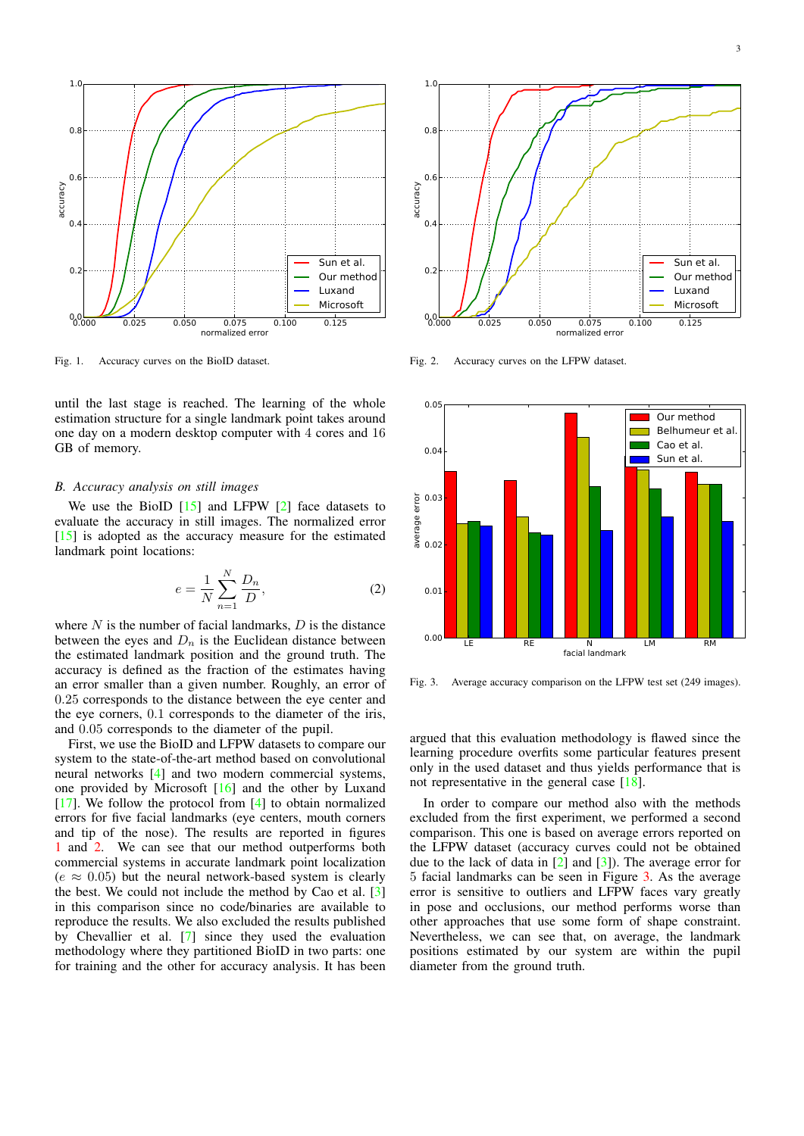<span id="page-2-3"></span>

<span id="page-2-0"></span>Fig. 1. Accuracy curves on the BioID dataset.

until the last stage is reached. The learning of the whole estimation structure for a single landmark point takes around one day on a modern desktop computer with 4 cores and 16 GB of memory.

#### *B. Accuracy analysis on still images*

We use the BioID  $[15]$  and LFPW  $[2]$  face datasets to evaluate the accuracy in still images. The normalized error [\[15\]](#page-4-4) is adopted as the accuracy measure for the estimated landmark point locations:

$$
e = \frac{1}{N} \sum_{n=1}^{N} \frac{D_n}{D},\tag{2}
$$

where  $N$  is the number of facial landmarks,  $D$  is the distance between the eyes and  $D_n$  is the Euclidean distance between the estimated landmark position and the ground truth. The accuracy is defined as the fraction of the estimates having an error smaller than a given number. Roughly, an error of 0.25 corresponds to the distance between the eye center and the eye corners, 0.1 corresponds to the diameter of the iris, and 0.05 corresponds to the diameter of the pupil.

First, we use the BioID and LFPW datasets to compare our system to the state-of-the-art method based on convolutional neural networks [\[4\]](#page-3-3) and two modern commercial systems, one provided by Microsoft [\[16\]](#page-4-5) and the other by Luxand [\[17\]](#page-4-6). We follow the protocol from [\[4\]](#page-3-3) to obtain normalized errors for five facial landmarks (eye centers, mouth corners and tip of the nose). The results are reported in figures [1](#page-2-0) and [2.](#page-2-1) We can see that our method outperforms both commercial systems in accurate landmark point localization  $(e \approx 0.05)$  but the neural network-based system is clearly the best. We could not include the method by Cao et al. [\[3\]](#page-3-2) in this comparison since no code/binaries are available to reproduce the results. We also excluded the results published by Chevallier et al. [\[7\]](#page-3-5) since they used the evaluation methodology where they partitioned BioID in two parts: one for training and the other for accuracy analysis. It has been



<span id="page-2-1"></span>Fig. 2. Accuracy curves on the LFPW dataset.



<span id="page-2-2"></span>Fig. 3. Average accuracy comparison on the LFPW test set (249 images).

argued that this evaluation methodology is flawed since the learning procedure overfits some particular features present only in the used dataset and thus yields performance that is not representative in the general case [\[18\]](#page-4-7).

In order to compare our method also with the methods excluded from the first experiment, we performed a second comparison. This one is based on average errors reported on the LFPW dataset (accuracy curves could not be obtained due to the lack of data in  $[2]$  and  $[3]$ ). The average error for 5 facial landmarks can be seen in Figure [3.](#page-2-2) As the average error is sensitive to outliers and LFPW faces vary greatly in pose and occlusions, our method performs worse than other approaches that use some form of shape constraint. Nevertheless, we can see that, on average, the landmark positions estimated by our system are within the pupil diameter from the ground truth.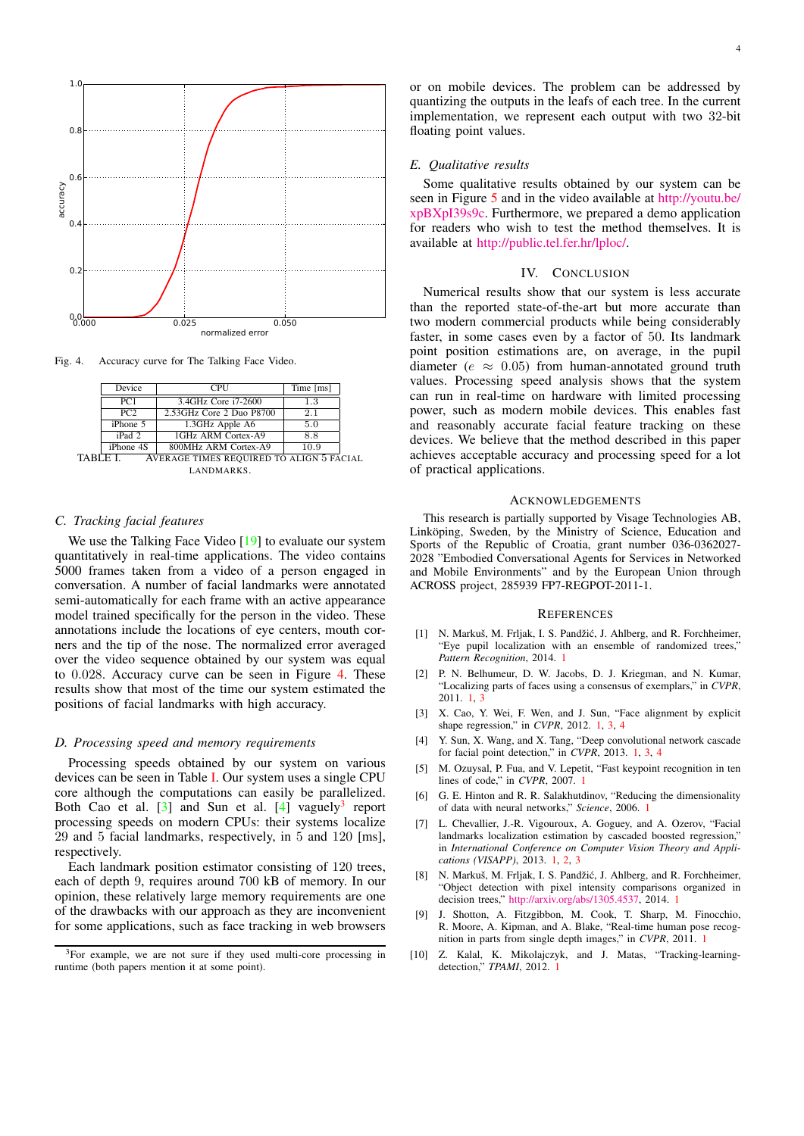<span id="page-3-13"></span>

Fig. 4. Accuracy curve for The Talking Face Video.

<span id="page-3-10"></span>

|                                                     | Device    | CPU                      | Time [ms] |  |
|-----------------------------------------------------|-----------|--------------------------|-----------|--|
|                                                     | PC1       | 3.4GHz Core i7-2600      | 1.3       |  |
|                                                     | PC2       | 2.53GHz Core 2 Duo P8700 | 2.1       |  |
|                                                     | iPhone 5  | 1.3GHz Apple A6          | 5.0       |  |
|                                                     | iPad 2    | 1GHz ARM Cortex-A9       | 8.8       |  |
|                                                     | iPhone 4S | 800MHz ARM Cortex-A9     | 10.9      |  |
| TABLE L<br>AVERAGE TIMES REQUIRED TO ALIGN 5 FACIAL |           |                          |           |  |

<span id="page-3-11"></span>LANDMARKS.

#### *C. Tracking facial features*

We use the Talking Face Video [\[19\]](#page-4-8) to evaluate our system quantitatively in real-time applications. The video contains 5000 frames taken from a video of a person engaged in conversation. A number of facial landmarks were annotated semi-automatically for each frame with an active appearance model trained specifically for the person in the video. These annotations include the locations of eye centers, mouth corners and the tip of the nose. The normalized error averaged over the video sequence obtained by our system was equal to 0.028. Accuracy curve can be seen in Figure [4.](#page-3-10) These results show that most of the time our system estimated the positions of facial landmarks with high accuracy.

# *D. Processing speed and memory requirements*

Processing speeds obtained by our system on various devices can be seen in Table [I.](#page-3-11) Our system uses a single CPU core although the computations can easily be parallelized. Both Cao et al.  $[3]$  and Sun et al.  $[4]$  vaguely<sup>[3](#page-3-12)</sup> report processing speeds on modern CPUs: their systems localize 29 and 5 facial landmarks, respectively, in 5 and 120 [ms], respectively.

Each landmark position estimator consisting of 120 trees, each of depth 9, requires around 700 kB of memory. In our opinion, these relatively large memory requirements are one of the drawbacks with our approach as they are inconvenient for some applications, such as face tracking in web browsers

or on mobile devices. The problem can be addressed by quantizing the outputs in the leafs of each tree. In the current implementation, we represent each output with two 32-bit floating point values.

#### *E. Qualitative results*

Some qualitative results obtained by our system can be seen in Figure [5](#page-4-9) and in the video available at [http://youtu.be/](http://youtu.be/xpBXpI39s9c) [xpBXpI39s9c.](http://youtu.be/xpBXpI39s9c) Furthermore, we prepared a demo application for readers who wish to test the method themselves. It is available at [http://public.tel.fer.hr/lploc/.](http://public.tel.fer.hr/lploc/)

# IV. CONCLUSION

Numerical results show that our system is less accurate than the reported state-of-the-art but more accurate than two modern commercial products while being considerably faster, in some cases even by a factor of 50. Its landmark point position estimations are, on average, in the pupil diameter ( $e \approx 0.05$ ) from human-annotated ground truth values. Processing speed analysis shows that the system can run in real-time on hardware with limited processing power, such as modern mobile devices. This enables fast and reasonably accurate facial feature tracking on these devices. We believe that the method described in this paper achieves acceptable accuracy and processing speed for a lot of practical applications.

# **ACKNOWLEDGEMENTS**

This research is partially supported by Visage Technologies AB, Linköping, Sweden, by the Ministry of Science, Education and Sports of the Republic of Croatia, grant number 036-0362027- 2028 "Embodied Conversational Agents for Services in Networked and Mobile Environments" and by the European Union through ACROSS project, 285939 FP7-REGPOT-2011-1.

#### **REFERENCES**

- <span id="page-3-0"></span>[1] N. Markuš, M. Frljak, I. S. Pandžić, J. Ahlberg, and R. Forchheimer, "Eye pupil localization with an ensemble of randomized trees," *Pattern Recognition*, 2014. [1](#page-0-1)
- <span id="page-3-1"></span>[2] P. N. Belhumeur, D. W. Jacobs, D. J. Kriegman, and N. Kumar, "Localizing parts of faces using a consensus of exemplars," in *CVPR*, 2011. [1,](#page-0-1) [3](#page-2-3)
- <span id="page-3-2"></span>[3] X. Cao, Y. Wei, F. Wen, and J. Sun, "Face alignment by explicit shape regression," in *CVPR*, 2012. [1,](#page-0-1) [3,](#page-2-3) [4](#page-3-13)
- <span id="page-3-3"></span>[4] Y. Sun, X. Wang, and X. Tang, "Deep convolutional network cascade for facial point detection," in *CVPR*, 2013. [1,](#page-0-1) [3,](#page-2-3) [4](#page-3-13)
- <span id="page-3-9"></span>[5] M. Ozuysal, P. Fua, and V. Lepetit, "Fast keypoint recognition in ten lines of code," in *CVPR*, 2007. [1](#page-0-1)
- <span id="page-3-4"></span>[6] G. E. Hinton and R. R. Salakhutdinov, "Reducing the dimensionality of data with neural networks," *Science*, 2006. [1](#page-0-1)
- <span id="page-3-5"></span>[7] L. Chevallier, J.-R. Vigouroux, A. Goguey, and A. Ozerov, "Facial landmarks localization estimation by cascaded boosted regression," in *International Conference on Computer Vision Theory and Applications (VISAPP)*, 2013. [1,](#page-0-1) [2,](#page-1-2) [3](#page-2-3)
- <span id="page-3-6"></span>[8] N. Markuš, M. Frljak, I. S. Pandžić, J. Ahlberg, and R. Forchheimer, "Object detection with pixel intensity comparisons organized in decision trees," [http://arxiv.org/abs/1305.4537,](http://arxiv.org/abs/1305.4537) 2014. [1](#page-0-1)
- <span id="page-3-7"></span>[9] J. Shotton, A. Fitzgibbon, M. Cook, T. Sharp, M. Finocchio, R. Moore, A. Kipman, and A. Blake, "Real-time human pose recognition in parts from single depth images," in *CVPR*, 2011. [1](#page-0-1)
- <span id="page-3-8"></span>[10] Z. Kalal, K. Mikolajczyk, and J. Matas, "Tracking-learningdetection," *TPAMI*, 2012. [1](#page-0-1)

<span id="page-3-12"></span><sup>&</sup>lt;sup>3</sup>For example, we are not sure if they used multi-core processing in runtime (both papers mention it at some point).